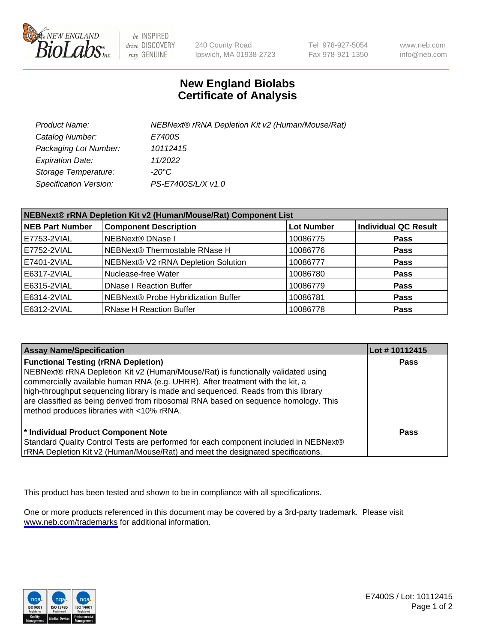

be INSPIRED drive DISCOVERY stay GENUINE

240 County Road Ipswich, MA 01938-2723 Tel 978-927-5054 Fax 978-921-1350

www.neb.com info@neb.com

## **New England Biolabs Certificate of Analysis**

| Product Name:           | NEBNext® rRNA Depletion Kit v2 (Human/Mouse/Rat) |
|-------------------------|--------------------------------------------------|
| Catalog Number:         | E7400S                                           |
| Packaging Lot Number:   | 10112415                                         |
| <b>Expiration Date:</b> | 11/2022                                          |
| Storage Temperature:    | -20°C                                            |
| Specification Version:  | PS-E7400S/L/X v1.0                               |

| NEBNext® rRNA Depletion Kit v2 (Human/Mouse/Rat) Component List |                                     |                   |                             |
|-----------------------------------------------------------------|-------------------------------------|-------------------|-----------------------------|
| <b>NEB Part Number</b>                                          | <b>Component Description</b>        | <b>Lot Number</b> | <b>Individual QC Result</b> |
| E7753-2VIAL                                                     | <b>NEBNext® DNase I</b>             | 10086775          | <b>Pass</b>                 |
| E7752-2VIAL                                                     | NEBNext® Thermostable RNase H       | 10086776          | <b>Pass</b>                 |
| E7401-2VIAL                                                     | NEBNext® V2 rRNA Depletion Solution | 10086777          | <b>Pass</b>                 |
| E6317-2VIAL                                                     | Nuclease-free Water                 | 10086780          | <b>Pass</b>                 |
| E6315-2VIAL                                                     | <b>DNase I Reaction Buffer</b>      | 10086779          | <b>Pass</b>                 |
| E6314-2VIAL                                                     | NEBNext® Probe Hybridization Buffer | 10086781          | <b>Pass</b>                 |
| E6312-2VIAL                                                     | <b>RNase H Reaction Buffer</b>      | 10086778          | <b>Pass</b>                 |

| <b>Assay Name/Specification</b>                                                                                                                                                                                                                                                                                                                                                                                                          | Lot #10112415 |
|------------------------------------------------------------------------------------------------------------------------------------------------------------------------------------------------------------------------------------------------------------------------------------------------------------------------------------------------------------------------------------------------------------------------------------------|---------------|
| <b>Functional Testing (rRNA Depletion)</b><br>NEBNext® rRNA Depletion Kit v2 (Human/Mouse/Rat) is functionally validated using<br>commercially available human RNA (e.g. UHRR). After treatment with the kit, a<br>high-throughput sequencing library is made and sequenced. Reads from this library<br>are classified as being derived from ribosomal RNA based on sequence homology. This<br>method produces libraries with <10% rRNA. | <b>Pass</b>   |
| * Individual Product Component Note<br>Standard Quality Control Tests are performed for each component included in NEBNext®<br>rRNA Depletion Kit v2 (Human/Mouse/Rat) and meet the designated specifications.                                                                                                                                                                                                                           | Pass          |

This product has been tested and shown to be in compliance with all specifications.

One or more products referenced in this document may be covered by a 3rd-party trademark. Please visit <www.neb.com/trademarks>for additional information.